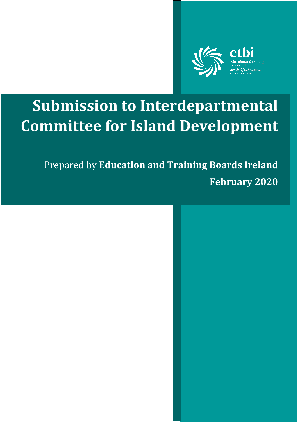

# **Submission to Interdepartmental Committee for Island Development**

Prepared by **Education and Training Boards Ireland February 2020**

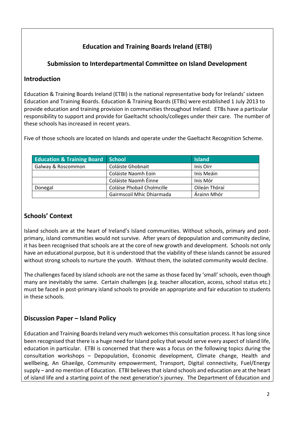# **Education and Training Boards Ireland (ETBI)**

# **Submission to Interdepartmental Committee on Island Development**

# **Introduction**

Education & Training Boards Ireland (ETBI) is the national representative body for Irelands' sixteen Education and Training Boards. Education & Training Boards (ETBs) were established 1 July 2013 to provide education and training provision in communities throughout Ireland. ETBs have a particular responsibility to support and provide for Gaeltacht schools/colleges under their care. The number of these schools has increased in recent years.

Five of those schools are located on Islands and operate under the Gaeltacht Recognition Scheme.

| <b>Education &amp; Training Board</b> | School                     | <b>Island</b> |
|---------------------------------------|----------------------------|---------------|
| Galway & Roscommon                    | Coláiste Ghobnait          | Inis Oirr     |
|                                       | Coláiste Naomh Eoin        | Inis Meáin    |
|                                       | Coláiste Naomh Éinne       | Inis Mór      |
| Donegal                               | Coláise Phobail Cholmcille | Oileán Thóraí |
|                                       | Gairmscoil Mhic Dhiarmada  | Árainn Mhór   |

# **Schools' Context**

Island schools are at the heart of Ireland's Island communities. Without schools, primary and postprimary, island communities would not survive. After years of depopulation and community decline, it has been recognised that schools are at the core of new growth and development. Schools not only have an educational purpose, but it is understood that the viability of these islands cannot be assured without strong schools to nurture the youth. Without them, the isolated community would decline.

The challenges faced by island schools are not the same as those faced by 'small' schools, even though many are inevitably the same. Certain challenges (e.g. teacher allocation, access, school status etc.) must be faced in post-primary island schools to provide an appropriate and fair education to students in these schools.

# **Discussion Paper – Island Policy**

Education and Training Boards Ireland very much welcomes this consultation process. It has long since been recognised that there is a huge need for Island policy that would serve every aspect of island life, education in particular. ETBI is concerned that there was a focus on the following topics during the consultation workshops – Depopulation, Economic development, Climate change, Health and wellbeing, An Ghaeilge, Community empowerment, Transport, Digital connectivity, Fuel/Energy supply – and no mention of Education. ETBI believes that island schools and education are at the heart of island life and a starting point of the next generation's journey. The Department of Education and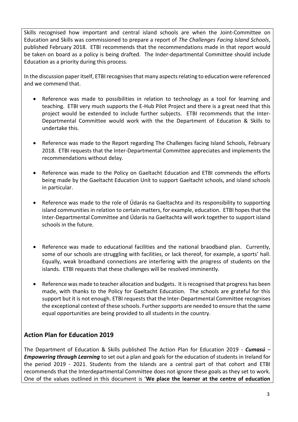Skills recognised how important and central island schools are when the Joint-Committee on Education and Skills was commissioned to prepare a report of *The Challenges Facing Island Schools*, published February 2018. ETBI recommends that the recommendations made in that report would be taken on board as a policy is being drafted. The Inder-departmental Committee should include Education as a priority during this process.

In the discussion paper itself, ETBI recognises that many aspects relating to education were referenced and we commend that.

- Reference was made to possibilities in relation to technology as a tool for learning and teaching. ETBI very much supports the E-Hub Pilot Project and there is a great need that this project would be extended to include further subjects. ETBI recommends that the Inter-Departmental Committee would work with the the Department of Education & Skills to undertake this.
- Reference was made to the Report regarding The Challenges facing Island Schools, February 2018. ETBI requests that the Inter-Departmental Committee appreciates and implements the recommendations without delay.
- Reference was made to the Policy on Gaeltacht Education and ETBI commends the efforts being made by the Gaeltacht Education Unit to support Gaeltacht schools, and island schools in particular.
- Reference was made to the role of Údarás na Gaeltachta and its responsibility to supporting island communities in relation to certain matters, for example, education. ETBI hopes that the Inter-Departmental Committee and Údarás na Gaeltachta will work together to support island schools in the future.
- Reference was made to educational facilities and the national braodband plan. Currently, some of our schools are struggling with facilities, or lack thereof, for example, a sports' hall. Equally, weak broadband connections are interfering with the progress of students on the islands. ETBI requests that these challenges will be resolved imminently.
- Reference was made to teacher allocation and budgets. It is recognised that progress has been made, with thanks to the Policy for Gaeltacht Education. The schools are grateful for this support but it is not enough. ETBI requests that the Inter-Departmental Committee recognises the exceptional context of these schools. Further supports are needed to ensure that the same equal opportunities are being provided to all students in the country.

# **Action Plan for Education 2019**

The Department of Education & Skills published The Action Plan for Education 2019 - *Cumasú – Empowering through Learning* to set out a plan and goals for the education of students in Ireland for the period 2019 - 2021. Students from the Islands are a central part of that cohort and ETBI recommends that the Interdepartmental Committee does not ignore these goals as they set to work. One of the values outlined in this document is '**We place the learner at the centre of education**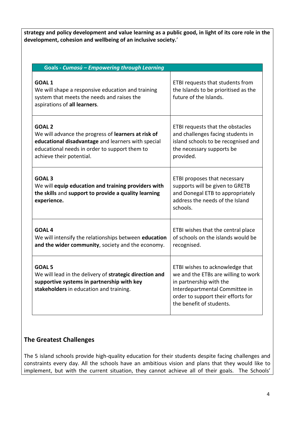**strategy and policy development and value learning as a public good, in light of its core role in the development, cohesion and wellbeing of an inclusive society.**'

| Goals - Cumasú - Empowering through Learning                                                                                                                                                            |                                                                                                                                                                                                       |  |  |
|---------------------------------------------------------------------------------------------------------------------------------------------------------------------------------------------------------|-------------------------------------------------------------------------------------------------------------------------------------------------------------------------------------------------------|--|--|
| <b>GOAL1</b><br>We will shape a responsive education and training<br>system that meets the needs and raises the<br>aspirations of all learners.                                                         | ETBI requests that students from<br>the Islands to be prioritised as the<br>future of the Islands.                                                                                                    |  |  |
| <b>GOAL 2</b><br>We will advance the progress of learners at risk of<br>educational disadvantage and learners with special<br>educational needs in order to support them to<br>achieve their potential. | ETBI requests that the obstacles<br>and challenges facing students in<br>island schools to be recognised and<br>the necessary supports be<br>provided.                                                |  |  |
| GOAL <sub>3</sub><br>We will equip education and training providers with<br>the skills and support to provide a quality learning<br>experience.                                                         | ETBI proposes that necessary<br>supports will be given to GRETB<br>and Donegal ETB to appropriately<br>address the needs of the Island<br>schools.                                                    |  |  |
| <b>GOAL 4</b><br>We will intensify the relationships between education<br>and the wider community, society and the economy.                                                                             | ETBI wishes that the central place<br>of schools on the islands would be<br>recognised.                                                                                                               |  |  |
| <b>GOAL 5</b><br>We will lead in the delivery of strategic direction and<br>supportive systems in partnership with key<br>stakeholders in education and training.                                       | ETBI wishes to acknowledge that<br>we and the ETBs are willing to work<br>in partnership with the<br>Interdepartmental Committee in<br>order to support their efforts for<br>the benefit of students. |  |  |

# **The Greatest Challenges**

The 5 island schools provide high-quality education for their students despite facing challenges and constraints every day. All the schools have an ambitious vision and plans that they would like to implement, but with the current situation, they cannot achieve all of their goals. The Schools'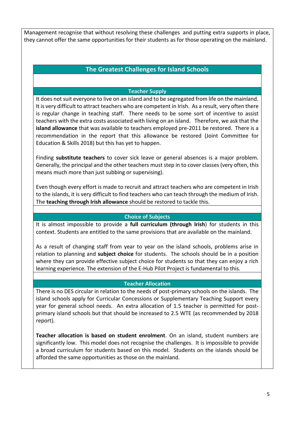Management recognise that without resolving these challenges and putting extra supports in place, they cannot offer the same opportunities for their students as for those operating on the mainland.

## **The Greatest Challenges for Island Schools**

## **Teacher Supply**

It does not suit everyone to live on an island and to be segregated from life on the mainland. It is very difficult to attract teachers who are competent in Irish. As a result, very often there is regular change in teaching staff. There needs to be some sort of incentive to assist teachers with the extra costs associated with living on an island. Therefore, we ask that the **island allowance** that was available to teachers employed pre-2011 be restored. There is a recommendation in the report that this allowance be restored (Joint Committee for Education & Skills 2018) but this has yet to happen.

Finding **substitute teachers** to cover sick leave or general absences is a major problem. Generally, the principal and the other teachers must step in to cover classes (very often, this means much more than just subbing or supervising).

Even though every effort is made to recruit and attract teachers who are competent in Irish to the islands, it is very difficult to find teachers who can teach through the medium of Irish. The **teaching through Irish allowance** should be restored to tackle this.

## **Choice of Subjects**

It is almost impossible to provide a **full curriculum (through Irish**) for students in this context. Students are entitled to the same provisions that are available on the mainland.

As a result of changing staff from year to year on the island schools, problems arise in relation to planning and **subject choice** for students. The schools should be in a position where they can provide effective subject choice for students so that they can enjoy a rich learning experience. The extension of the E-Hub Pilot Project is fundamental to this.

### **Teacher Allocation**

There is no DES circular in relation to the needs of post-primary schools on the islands. The island schools apply for Curricular Concessions or Supplementary Teaching Support every year for general school needs. An extra allocation of 1.5 teacher is permitted for postprimary island schools but that should be increased to 2.5 WTE (as recommended by 2018 report).

**Teacher allocation is based on student enrolment**. On an island, student numbers are significantly low. This model does not recognise the challenges. It is impossible to provide a broad curriculum for students based on this model. Students on the islands should be afforded the same opportunities as those on the mainland.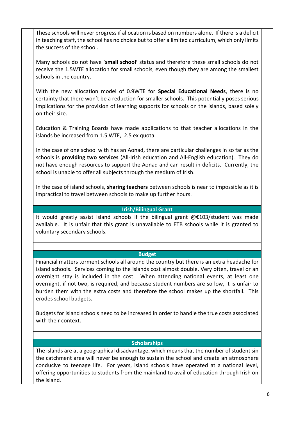These schools will never progress if allocation is based on numbers alone. If there is a deficit in teaching staff, the school has no choice but to offer a limited curriculum, which only limits the success of the school.

Many schools do not have '**small school'** status and therefore these small schools do not receive the 1.5WTE allocation for small schools, even though they are among the smallest schools in the country.

With the new allocation model of 0.9WTE for **Special Educational Needs**, there is no certainty that there won't be a reduction for smaller schools. This potentially poses serious implications for the provision of learning supports for schools on the islands, based solely on their size.

Education & Training Boards have made applications to that teacher allocations in the islands be increased from 1.5 WTE, 2.5 ex quota.

In the case of one school with has an Aonad, there are particular challenges in so far as the schools is **providing two services** (All-Irish education and All-English education). They do not have enough resources to support the Aonad and can result in deficits. Currently, the school is unable to offer all subjects through the medium of Irish.

In the case of island schools, **sharing teachers** between schools is near to impossible as it is impractical to travel between schools to make up further hours.

## **Irish/Bilingual Grant**

It would greatly assist island schools if the bilingual grant @€103/student was made available. It is unfair that this grant is unavailable to ETB schools while it is granted to voluntary secondary schools.

### **Budget**

Financial matters torment schools all around the country but there is an extra headache for island schools. Services coming to the islands cost almost double. Very often, travel or an overnight stay is included in the cost. When attending national events, at least one overnight, if not two, is required, and because student numbers are so low, it is unfair to burden them with the extra costs and therefore the school makes up the shortfall. This erodes school budgets.

Budgets for island schools need to be increased in order to handle the true costs associated with their context.

### **Scholarships**

The islands are at a geographical disadvantage, which means that the number of student sin the catchment area will never be enough to sustain the school and create an atmosphere conducive to teenage life. For years, island schools have operated at a national level, offering opportunities to students from the mainland to avail of education through Irish on the island.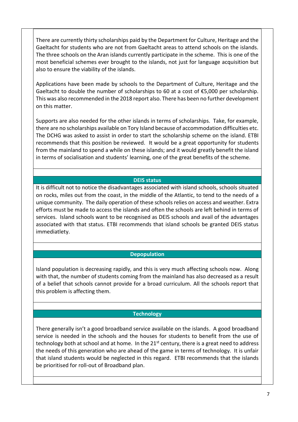There are currently thirty scholarships paid by the Department for Culture, Heritage and the Gaeltacht for students who are not from Gaeltacht areas to attend schools on the islands. The three schools on the Aran islands currently participate in the scheme. This is one of the most beneficial schemes ever brought to the islands, not just for language acquisition but also to ensure the viability of the islands.

Applications have been made by schools to the Department of Culture, Heritage and the Gaeltacht to double the number of scholarships to 60 at a cost of  $\epsilon$ 5,000 per scholarship. This was also recommended in the 2018 report also. There has been no further development on this matter.

Supports are also needed for the other islands in terms of scholarships. Take, for example, there are no scholarships available on Tory Island because of accommodation difficulties etc. The DCHG was asked to assist in order to start the scholarship scheme on the island. ETBI recommends that this position be reviewed. It would be a great opportunity for students from the mainland to spend a while on these islands; and it would greatly benefit the island in terms of socialisation and students' learning, one of the great benefits of the scheme.

## **DEIS status**

It is difficult not to notice the disadvantages associated with island schools, schools situated on rocks, miles out from the coast, in the middle of the Atlantic, to tend to the needs of a unique community. The daily operation of these schools relies on access and weather. Extra efforts must be made to access the islands and often the schools are left behind in terms of services. Island schools want to be recognised as DEIS schools and avail of the advantages associated with that status. ETBI recommends that island schools be granted DEIS status immediatlety.

### **Depopulation**

Island population is decreasing rapidly, and this is very much affecting schools now. Along with that, the number of students coming from the mainland has also decreased as a result of a belief that schools cannot provide for a broad curriculum. All the schools report that this problem is affecting them.

### **Technology**

There generally isn't a good broadband service available on the islands. A good broadband service is needed in the schools and the houses for students to benefit from the use of technology both at school and at home. In the  $21<sup>st</sup>$  century, there is a great need to address the needs of this generation who are ahead of the game in terms of technology. It is unfair that island students would be neglected in this regard. ETBI recommends that the islands be prioritised for roll-out of Broadband plan.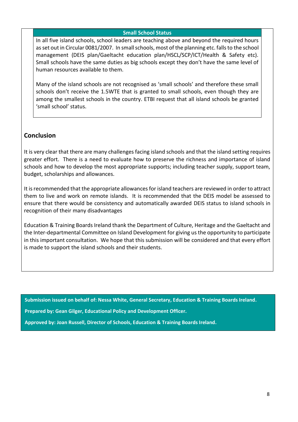## **Small School Status**

In all five island schools, school leaders are teaching above and beyond the required hours as set out in Circular 0081/2007. In small schools, most of the planning etc. falls to the school management (DEIS plan/Gaeltacht education plan/HSCL/SCP/ICT/Health & Safety etc). Small schools have the same duties as big schools except they don't have the same level of human resources available to them.

Many of the island schools are not recognised as 'small schools' and therefore these small schools don't receive the 1.5WTE that is granted to small schools, even though they are among the smallest schools in the country. ETBI request that all island schools be granted 'small school' status.

## **Conclusion**

It is very clear that there are many challenges facing island schools and that the island setting requires greater effort. There is a need to evaluate how to preserve the richness and importance of island schools and how to develop the most appropriate supports; including teacher supply, support team, budget, scholarships and allowances.

It is recommended that the appropriate allowances for island teachers are reviewed in order to attract them to live and work on remote islands. It is recommended that the DEIS model be assessed to ensure that there would be consistency and automatically awarded DEIS status to island schools in recognition of their many disadvantages

Education & Training Boards Ireland thank the Department of Culture, Heritage and the Gaeltacht and the Inter-departmental Committee on Island Development for giving us the opportunity to participate in this important consultation. We hope that this submission will be considered and that every effort is made to support the island schools and their students.

**Submission issued on behalf of: Nessa White, General Secretary, Education & Training Boards Ireland.**

**Prepared by: Gean Gilger, Educational Policy and Development Officer.**

**Approved by: Joan Russell, Director of Schools, Education & Training Boards Ireland.**